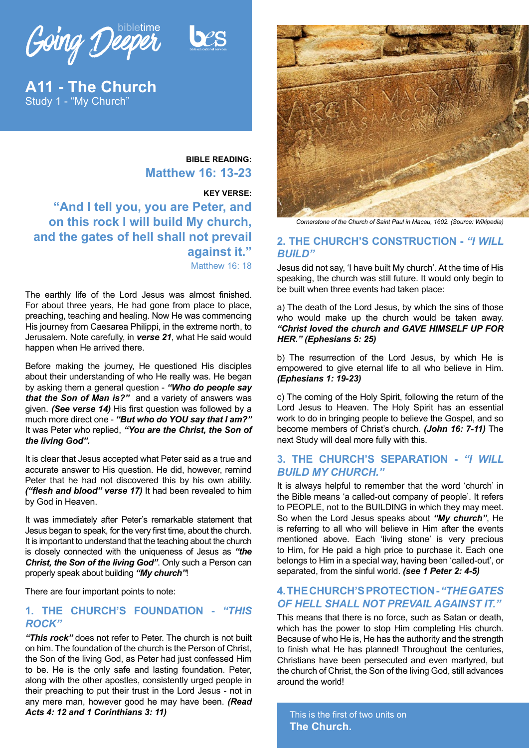Going Deeper bibletime



**A11 - The Church** Study 1 - "My Church"

## **BIBLE READING: Matthew 16: 13-23**

**KEY VERSE: "And I tell you, you are Peter, and on this rock I will build My church, and the gates of hell shall not prevail against it."** Matthew 16: 18

The earthly life of the Lord Jesus was almost finished. For about three years, He had gone from place to place, preaching, teaching and healing. Now He was commencing His journey from Caesarea Philippi, in the extreme north, to Jerusalem. Note carefully, in *verse 21*, what He said would happen when He arrived there.

Before making the journey, He questioned His disciples about their understanding of who He really was. He began by asking them a general question - *"Who do people say that the Son of Man is?"* and a variety of answers was given. *(See verse 14)* His first question was followed by a much more direct one - *"But who do YOU say that I am?"* It was Peter who replied, *"You are the Christ, the Son of the living God".*

It is clear that Jesus accepted what Peter said as a true and accurate answer to His question. He did, however, remind Peter that he had not discovered this by his own ability. *("flesh and blood" verse 17)* It had been revealed to him by God in Heaven.

It was immediately after Peter's remarkable statement that Jesus began to speak, for the very first time, about the church. It is important to understand that the teaching about the church is closely connected with the uniqueness of Jesus as *"the Christ, the Son of the living God"*. Only such a Person can properly speak about building *"My church"*!

There are four important points to note:

## **1. THE CHURCH'S FOUNDATION -** *"THIS ROCK"*

*"This rock"* does not refer to Peter. The church is not built on him. The foundation of the church is the Person of Christ, the Son of the living God, as Peter had just confessed Him to be. He is the only safe and lasting foundation. Peter, along with the other apostles, consistently urged people in their preaching to put their trust in the Lord Jesus - not in any mere man, however good he may have been. *(Read Acts 4: 12 and 1 Corinthians 3: 11)*



*Cornerstone of the Church of Saint Paul in Macau, 1602. (Source: Wikipedia)*

## **2. THE CHURCH'S CONSTRUCTION -** *"I WILL BUILD"*

Jesus did not say, 'I have built My church'. At the time of His speaking, the church was still future. It would only begin to be built when three events had taken place:

a) The death of the Lord Jesus, by which the sins of those who would make up the church would be taken away. *"Christ loved the church and GAVE HIMSELF UP FOR HER." (Ephesians 5: 25)*

b) The resurrection of the Lord Jesus, by which He is empowered to give eternal life to all who believe in Him. *(Ephesians 1: 19-23)*

c) The coming of the Holy Spirit, following the return of the Lord Jesus to Heaven. The Holy Spirit has an essential work to do in bringing people to believe the Gospel, and so become members of Christ's church. *(John 16: 7-11)* The next Study will deal more fully with this.

## **3. THE CHURCH'S SEPARATION -** *"I WILL BUILD MY CHURCH."*

It is always helpful to remember that the word 'church' in the Bible means 'a called-out company of people'. It refers to PEOPLE, not to the BUILDING in which they may meet. So when the Lord Jesus speaks about *"My church"*, He is referring to all who will believe in Him after the events mentioned above. Each 'living stone' is very precious to Him, for He paid a high price to purchase it. Each one belongs to Him in a special way, having been 'called-out', or separated, from the sinful world. *(see 1 Peter 2: 4-5)*

## **4. THE CHURCH'S PROTECTION -** *"THE GATES OF HELL SHALL NOT PREVAIL AGAINST IT."*

This means that there is no force, such as Satan or death, which has the power to stop Him completing His church. Because of who He is, He has the authority and the strength to finish what He has planned! Throughout the centuries, Christians have been persecuted and even martyred, but the church of Christ, the Son of the living God, still advances around the world!

This is the first of two units on **The Church.**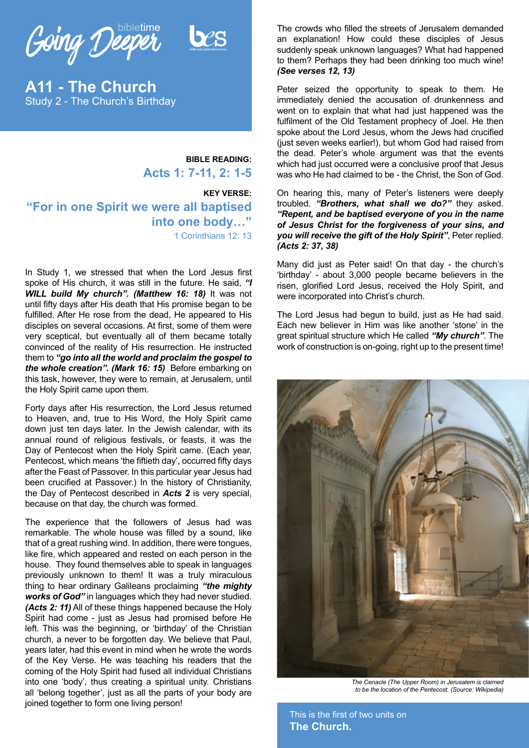

**A11 - The Church** Study 2 - The Church's Birthday

> **BIBLE READING: Acts 1: 7-11, 2: 1-5**

**KEY VERSE: "For in one Spirit we were all baptised into one body…"** 1 Corinthians 12: 13

In Study 1, we stressed that when the Lord Jesus first spoke of His church, it was still in the future. He said, *"I WILL build My church". (Matthew 16: 18)* It was not until fifty days after His death that His promise began to be fulfilled. After He rose from the dead, He appeared to His disciples on several occasions. At first, some of them were very sceptical, but eventually all of them became totally convinced of the reality of His resurrection. He instructed them to *"go into all the world and proclaim the gospel to the whole creation". (Mark 16: 15)* Before embarking on this task, however, they were to remain, at Jerusalem, until the Holy Spirit came upon them.

Forty days after His resurrection, the Lord Jesus returned to Heaven, and, true to His Word, the Holy Spirit came down just ten days later. In the Jewish calendar, with its annual round of religious festivals, or feasts, it was the Day of Pentecost when the Holy Spirit came. (Each year, Pentecost, which means 'the fiftieth day', occurred fifty days after the Feast of Passover. In this particular year Jesus had been crucified at Passover.) In the history of Christianity, the Day of Pentecost described in *Acts 2* is very special, because on that day, the church was formed.

The experience that the followers of Jesus had was remarkable. The whole house was filled by a sound, like that of a great rushing wind. In addition, there were tongues, like fire, which appeared and rested on each person in the house. They found themselves able to speak in languages previously unknown to them! It was a truly miraculous thing to hear ordinary Galileans proclaiming *"the mighty works of God"* in languages which they had never studied. *(Acts 2: 11)* All of these things happened because the Holy Spirit had come - just as Jesus had promised before He left. This was the beginning, or 'birthday' of the Christian church, a never to be forgotten day. We believe that Paul, years later, had this event in mind when he wrote the words of the Key Verse. He was teaching his readers that the coming of the Holy Spirit had fused all individual Christians into one 'body', thus creating a spiritual unity. Christians all 'belong together', just as all the parts of your body are joined together to form one living person!

The crowds who filled the streets of Jerusalem demanded an explanation! How could these disciples of Jesus suddenly speak unknown languages? What had happened to them? Perhaps they had been drinking too much wine! *(See verses 12, 13)*

Peter seized the opportunity to speak to them. He immediately denied the accusation of drunkenness and went on to explain that what had just happened was the fulfilment of the Old Testament prophecy of Joel. He then spoke about the Lord Jesus, whom the Jews had crucified (just seven weeks earlier!), but whom God had raised from the dead. Peter's whole argument was that the events which had just occurred were a conclusive proof that Jesus was who He had claimed to be - the Christ, the Son of God.

On hearing this, many of Peter's listeners were deeply troubled. *"Brothers, what shall we do?"* they asked. *"Repent, and be baptised everyone of you in the name of Jesus Christ for the forgiveness of your sins, and you will receive the gift of the Holy Spirit"*, Peter replied. *(Acts 2: 37, 38)*

Many did just as Peter said! On that day - the church's 'birthday' - about 3,000 people became believers in the risen, glorified Lord Jesus, received the Holy Spirit, and were incorporated into Christ's church.

The Lord Jesus had begun to build, just as He had said. Each new believer in Him was like another 'stone' in the great spiritual structure which He called *"My church"*. The work of construction is on-going, right up to the present time!



*The Cenacle (The Upper Room) in Jerusalem is claimed to be the location of the Pentecost. (Source: Wikipedia)*

This is the first of two units on **The Church.**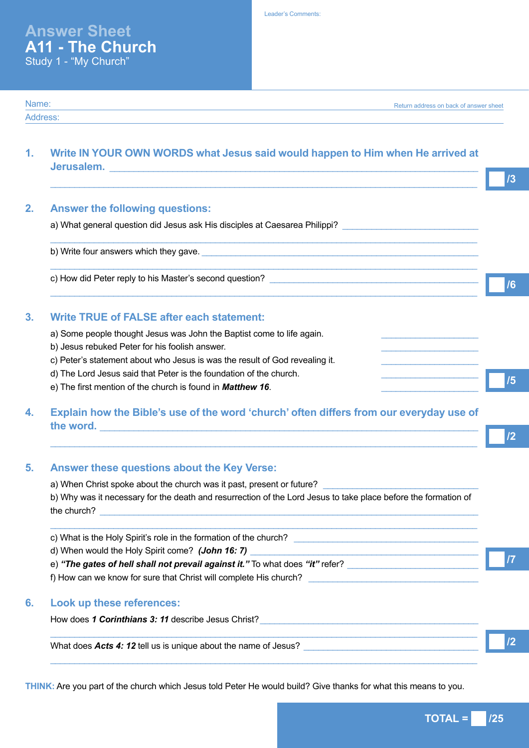Name: Address:

# **1. Write IN YOUR OWN WORDS what Jesus said would happen to Him when He arrived at Jerusalem.** \_\_\_\_\_\_\_\_\_\_\_\_\_\_\_\_\_\_\_\_\_\_\_\_\_\_\_\_\_\_\_\_\_\_\_\_\_\_\_\_\_\_\_\_\_\_\_\_\_\_\_\_\_\_\_\_\_\_\_\_\_\_\_\_\_\_\_\_\_\_\_\_\_\_\_\_

| <b>Answer the following questions:</b>                                     |  |
|----------------------------------------------------------------------------|--|
| a) What general question did Jesus ask His disciples at Caesarea Philippi? |  |
| b) Write four answers which they gave.                                     |  |
| c) How did Peter reply to his Master's second question?                    |  |

## **3. Write TRUE of FALSE after each statement:**

- a) Some people thought Jesus was John the Baptist come to life again.
- b) Jesus rebuked Peter for his foolish answer.
- c) Peter's statement about who Jesus is was the result of God revealing it.
- d) The Lord Jesus said that Peter is the foundation of the church.
- e) The first mention of the church is found in **Matthew 16**.

# **4. Explain how the Bible's use of the word 'church' often differs from our everyday use of**  the word.

#### **5. Answer these questions about the Key Verse:**

a) When Christ spoke about the church was it past, present or future? b) Why was it necessary for the death and resurrection of the Lord Jesus to take place before the formation of the church?

 $\_$  ,  $\_$  ,  $\_$  ,  $\_$  ,  $\_$  ,  $\_$  ,  $\_$  ,  $\_$  ,  $\_$  ,  $\_$  ,  $\_$  ,  $\_$  ,  $\_$  ,  $\_$  ,  $\_$  ,  $\_$  ,  $\_$  ,  $\_$  ,  $\_$  ,  $\_$  ,  $\_$  ,  $\_$  ,  $\_$  ,  $\_$  ,  $\_$  ,  $\_$  ,  $\_$  ,  $\_$  ,  $\_$  ,  $\_$  ,  $\_$  ,  $\_$  ,  $\_$  ,  $\_$  ,  $\_$  ,  $\_$  ,  $\_$  ,

 $\_$  ,  $\_$  ,  $\_$  ,  $\_$  ,  $\_$  ,  $\_$  ,  $\_$  ,  $\_$  ,  $\_$  ,  $\_$  ,  $\_$  ,  $\_$  ,  $\_$  ,  $\_$  ,  $\_$  ,  $\_$  ,  $\_$  ,  $\_$  ,  $\_$  ,  $\_$  ,  $\_$  ,  $\_$  ,  $\_$  ,  $\_$  ,  $\_$  ,  $\_$  ,  $\_$  ,  $\_$  ,  $\_$  ,  $\_$  ,  $\_$  ,  $\_$  ,  $\_$  ,  $\_$  ,  $\_$  ,  $\_$  ,  $\_$  ,

 $\_$  ,  $\_$  ,  $\_$  ,  $\_$  ,  $\_$  ,  $\_$  ,  $\_$  ,  $\_$  ,  $\_$  ,  $\_$  ,  $\_$  ,  $\_$  ,  $\_$  ,  $\_$  ,  $\_$  ,  $\_$  ,  $\_$  ,  $\_$  ,  $\_$  ,  $\_$  ,  $\_$  ,  $\_$  ,  $\_$  ,  $\_$  ,  $\_$  ,  $\_$  ,  $\_$  ,  $\_$  ,  $\_$  ,  $\_$  ,  $\_$  ,  $\_$  ,  $\_$  ,  $\_$  ,  $\_$  ,  $\_$  ,  $\_$  ,

 $\_$  ,  $\_$  ,  $\_$  ,  $\_$  ,  $\_$  ,  $\_$  ,  $\_$  ,  $\_$  ,  $\_$  ,  $\_$  ,  $\_$  ,  $\_$  ,  $\_$  ,  $\_$  ,  $\_$  ,  $\_$  ,  $\_$  ,  $\_$  ,  $\_$  ,  $\_$  ,  $\_$  ,  $\_$  ,  $\_$  ,  $\_$  ,  $\_$  ,  $\_$  ,  $\_$  ,  $\_$  ,  $\_$  ,  $\_$  ,  $\_$  ,  $\_$  ,  $\_$  ,  $\_$  ,  $\_$  ,  $\_$  ,  $\_$  ,

| c) What is the Holy Spirit's role in the formation of the church?             |  |
|-------------------------------------------------------------------------------|--|
| d) When would the Holy Spirit come? (John 16: 7)                              |  |
| e) "The gates of hell shall not prevail against it." To what does "it" refer? |  |
| f) How can we know for sure that Christ will complete His church?             |  |
|                                                                               |  |

#### **6. Look up these references:**

How does 1 Corinthians 3: 11 describe Jesus Christ?

What does Acts 4: 12 tell us is unique about the name of Jesus?

**THINK:** Are you part of the church which Jesus told Peter He would build? Give thanks for what this means to you.

**TOTAL = 725** 

**/5**

Return address on back of answer sheet

**/2**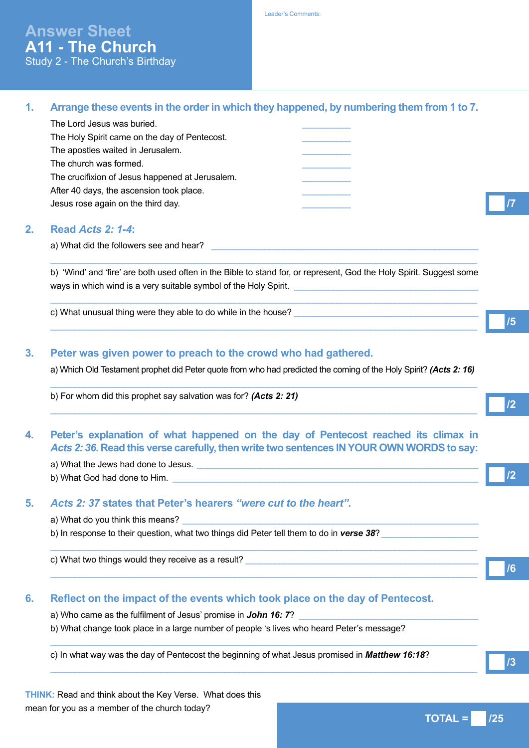Leader's Comments:

## **1. Arrange these events in the order in which they happened, by numbering them from 1 to 7.**

| The Lord Jesus was buried.                      |  |
|-------------------------------------------------|--|
| The Holy Spirit came on the day of Pentecost.   |  |
| The apostles waited in Jerusalem.               |  |
| The church was formed.                          |  |
| The crucifixion of Jesus happened at Jerusalem. |  |
| After 40 days, the ascension took place.        |  |
| Jesus rose again on the third day.              |  |
|                                                 |  |

### **2. Read** *Acts 2: 1-4***:**

a) What did the followers see and hear?

b) 'Wind' and 'fire' are both used often in the Bible to stand for, or represent, God the Holy Spirit. Suggest some ways in which wind is a very suitable symbol of the Holy Spirit.

 $\_$  ,  $\_$  ,  $\_$  ,  $\_$  ,  $\_$  ,  $\_$  ,  $\_$  ,  $\_$  ,  $\_$  ,  $\_$  ,  $\_$  ,  $\_$  ,  $\_$  ,  $\_$  ,  $\_$  ,  $\_$  ,  $\_$  ,  $\_$  ,  $\_$  ,  $\_$  ,  $\_$  ,  $\_$  ,  $\_$  ,  $\_$  ,  $\_$  ,  $\_$  ,  $\_$  ,  $\_$  ,  $\_$  ,  $\_$  ,  $\_$  ,  $\_$  ,  $\_$  ,  $\_$  ,  $\_$  ,  $\_$  ,  $\_$  ,

 $\_$  ,  $\_$  ,  $\_$  ,  $\_$  ,  $\_$  ,  $\_$  ,  $\_$  ,  $\_$  ,  $\_$  ,  $\_$  ,  $\_$  ,  $\_$  ,  $\_$  ,  $\_$  ,  $\_$  ,  $\_$  ,  $\_$  ,  $\_$  ,  $\_$  ,  $\_$  ,  $\_$  ,  $\_$  ,  $\_$  ,  $\_$  ,  $\_$  ,  $\_$  ,  $\_$  ,  $\_$  ,  $\_$  ,  $\_$  ,  $\_$  ,  $\_$  ,  $\_$  ,  $\_$  ,  $\_$  ,  $\_$  ,  $\_$  ,

 $\_$  ,  $\_$  ,  $\_$  ,  $\_$  ,  $\_$  ,  $\_$  ,  $\_$  ,  $\_$  ,  $\_$  ,  $\_$  ,  $\_$  ,  $\_$  ,  $\_$  ,  $\_$  ,  $\_$  ,  $\_$  ,  $\_$  ,  $\_$  ,  $\_$  ,  $\_$  ,  $\_$  ,  $\_$  ,  $\_$  ,  $\_$  ,  $\_$  ,  $\_$  ,  $\_$  ,  $\_$  ,  $\_$  ,  $\_$  ,  $\_$  ,  $\_$  ,  $\_$  ,  $\_$  ,  $\_$  ,  $\_$  ,  $\_$  ,

c) What unusual thing were they able to do while in the house?

#### **3. Peter was given power to preach to the crowd who had gathered.**

a) Which Old Testament prophet did Peter quote from who had predicted the coming of the Holy Spirit? *(Acts 2: 16)*  $\_$  ,  $\_$  ,  $\_$  ,  $\_$  ,  $\_$  ,  $\_$  ,  $\_$  ,  $\_$  ,  $\_$  ,  $\_$  ,  $\_$  ,  $\_$  ,  $\_$  ,  $\_$  ,  $\_$  ,  $\_$  ,  $\_$  ,  $\_$  ,  $\_$  ,  $\_$  ,  $\_$  ,  $\_$  ,  $\_$  ,  $\_$  ,  $\_$  ,  $\_$  ,  $\_$  ,  $\_$  ,  $\_$  ,  $\_$  ,  $\_$  ,  $\_$  ,  $\_$  ,  $\_$  ,  $\_$  ,  $\_$  ,  $\_$  ,

 $\_$  ,  $\_$  ,  $\_$  ,  $\_$  ,  $\_$  ,  $\_$  ,  $\_$  ,  $\_$  ,  $\_$  ,  $\_$  ,  $\_$  ,  $\_$  ,  $\_$  ,  $\_$  ,  $\_$  ,  $\_$  ,  $\_$  ,  $\_$  ,  $\_$  ,  $\_$  ,  $\_$  ,  $\_$  ,  $\_$  ,  $\_$  ,  $\_$  ,  $\_$  ,  $\_$  ,  $\_$  ,  $\_$  ,  $\_$  ,  $\_$  ,  $\_$  ,  $\_$  ,  $\_$  ,  $\_$  ,  $\_$  ,  $\_$  ,

 $\_$  ,  $\_$  ,  $\_$  ,  $\_$  ,  $\_$  ,  $\_$  ,  $\_$  ,  $\_$  ,  $\_$  ,  $\_$  ,  $\_$  ,  $\_$  ,  $\_$  ,  $\_$  ,  $\_$  ,  $\_$  ,  $\_$  ,  $\_$  ,  $\_$  ,  $\_$  ,  $\_$  ,  $\_$  ,  $\_$  ,  $\_$  ,  $\_$  ,  $\_$  ,  $\_$  ,  $\_$  ,  $\_$  ,  $\_$  ,  $\_$  ,  $\_$  ,  $\_$  ,  $\_$  ,  $\_$  ,  $\_$  ,  $\_$  ,

 $\_$  ,  $\_$  ,  $\_$  ,  $\_$  ,  $\_$  ,  $\_$  ,  $\_$  ,  $\_$  ,  $\_$  ,  $\_$  ,  $\_$  ,  $\_$  ,  $\_$  ,  $\_$  ,  $\_$  ,  $\_$  ,  $\_$  ,  $\_$  ,  $\_$  ,  $\_$  ,  $\_$  ,  $\_$  ,  $\_$  ,  $\_$  ,  $\_$  ,  $\_$  ,  $\_$  ,  $\_$  ,  $\_$  ,  $\_$  ,  $\_$  ,  $\_$  ,  $\_$  ,  $\_$  ,  $\_$  ,  $\_$  ,  $\_$  ,

 $\_$  ,  $\_$  ,  $\_$  ,  $\_$  ,  $\_$  ,  $\_$  ,  $\_$  ,  $\_$  ,  $\_$  ,  $\_$  ,  $\_$  ,  $\_$  ,  $\_$  ,  $\_$  ,  $\_$  ,  $\_$  ,  $\_$  ,  $\_$  ,  $\_$  ,  $\_$  ,  $\_$  ,  $\_$  ,  $\_$  ,  $\_$  ,  $\_$  ,  $\_$  ,  $\_$  ,  $\_$  ,  $\_$  ,  $\_$  ,  $\_$  ,  $\_$  ,  $\_$  ,  $\_$  ,  $\_$  ,  $\_$  ,  $\_$  ,

 $\_$  ,  $\_$  ,  $\_$  ,  $\_$  ,  $\_$  ,  $\_$  ,  $\_$  ,  $\_$  ,  $\_$  ,  $\_$  ,  $\_$  ,  $\_$  ,  $\_$  ,  $\_$  ,  $\_$  ,  $\_$  ,  $\_$  ,  $\_$  ,  $\_$  ,  $\_$  ,  $\_$  ,  $\_$  ,  $\_$  ,  $\_$  ,  $\_$  ,  $\_$  ,  $\_$  ,  $\_$  ,  $\_$  ,  $\_$  ,  $\_$  ,  $\_$  ,  $\_$  ,  $\_$  ,  $\_$  ,  $\_$  ,  $\_$  ,

b) For whom did this prophet say salvation was for? *(Acts 2: 21)*

#### **4. Peter's explanation of what happened on the day of Pentecost reached its climax in**  *Acts 2: 36***. Read this verse carefully, then write two sentences IN YOUR OWN WORDS to say:**

a) What the Jews had done to Jesus.

b) What God had done to Him.

#### **5.** *Acts 2: 37* **states that Peter's hearers** *"were cut to the heart"***.**

a) What do you think this means?

b) In response to their question, what two things did Peter tell them to do in *verse 38*?

c) What two things would they receive as a result?

#### **6. Reflect on the impact of the events which took place on the day of Pentecost.**

- a) Who came as the fulfilment of Jesus' promise in **John 16: 7**?
- b) What change took place in a large number of people 's lives who heard Peter's message?

c) In what way was the day of Pentecost the beginning of what Jesus promised in *Matthew 16:18*?

**THINK:** Read and think about the Key Verse. What does this mean for you as a member of the church today?

**/5**

**/7**

**/2**

**/2**

**/6**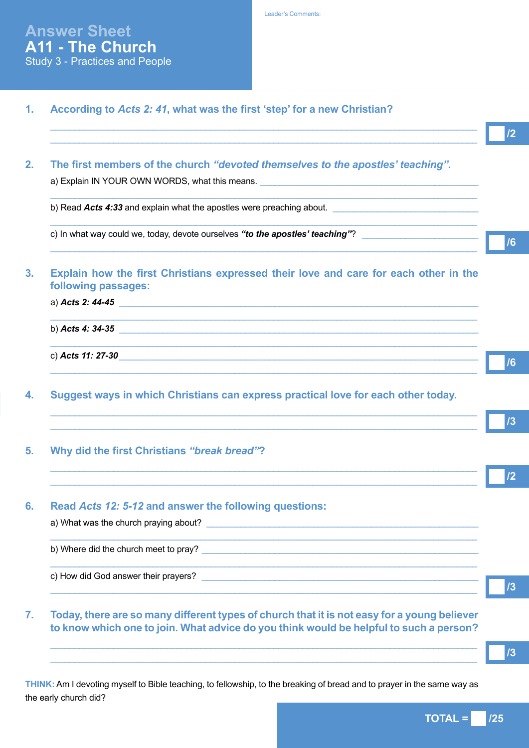| According to Acts 2: 41, what was the first 'step' for a new Christian?                                     |
|-------------------------------------------------------------------------------------------------------------|
|                                                                                                             |
| The first members of the church "devoted themselves to the apostles' teaching".                             |
| a) Explain IN YOUR OWN WORDS, what this means.                                                              |
| b) Read Acts 4:33 and explain what the apostles were preaching about.                                       |
| c) In what way could we, today, devote ourselves "to the apostles' teaching"?                               |
| Explain how the first Christians expressed their love and care for each other in the<br>following passages: |
| a) Acts 2: 44-45                                                                                            |
| b) Acts 4: 34-35                                                                                            |
|                                                                                                             |
| Suggest ways in which Christians can express practical love for each other today.                           |
|                                                                                                             |
| Why did the first Christians "break bread"?                                                                 |
|                                                                                                             |
| Read Acts 12: 5-12 and answer the following questions:                                                      |
|                                                                                                             |
| <b>,我们的人们也不能在这里,我们的人们也不能在这里的人们的人们,我们也不能在这里的人们的人们</b> 。                                                      |
|                                                                                                             |

**THINK:** Am I devoting myself to Bible teaching, to fellowship, to the breaking of bread and to prayer in the same way as the early church did?

 $\_$  ,  $\_$  ,  $\_$  ,  $\_$  ,  $\_$  ,  $\_$  ,  $\_$  ,  $\_$  ,  $\_$  ,  $\_$  ,  $\_$  ,  $\_$  ,  $\_$  ,  $\_$  ,  $\_$  ,  $\_$  ,  $\_$  ,  $\_$  ,  $\_$  ,  $\_$  ,  $\_$  ,  $\_$  ,  $\_$  ,  $\_$  ,  $\_$  ,  $\_$  ,  $\_$  ,  $\_$  ,  $\_$  ,  $\_$  ,  $\_$  ,  $\_$  ,  $\_$  ,  $\_$  ,  $\_$  ,  $\_$  ,  $\_$  ,  $\_$  ,  $\_$  ,  $\_$  ,  $\_$  ,  $\_$  ,  $\_$  ,  $\_$  ,  $\_$  ,  $\_$  ,  $\_$  ,  $\_$  ,  $\_$  ,  $\_$  ,  $\_$  ,  $\_$  ,  $\_$  ,  $\_$  ,  $\_$  ,  $\_$  ,  $\_$  ,  $\_$  ,  $\_$  ,  $\_$  ,  $\_$  ,  $\_$  ,  $\_$  ,  $\_$  ,  $\_$  ,  $\_$  ,  $\_$  ,  $\_$  ,  $\_$  ,  $\_$  ,  $\_$  ,  $\_$  ,  $\_$  ,  $\_$  ,

 $TOTAL = 125$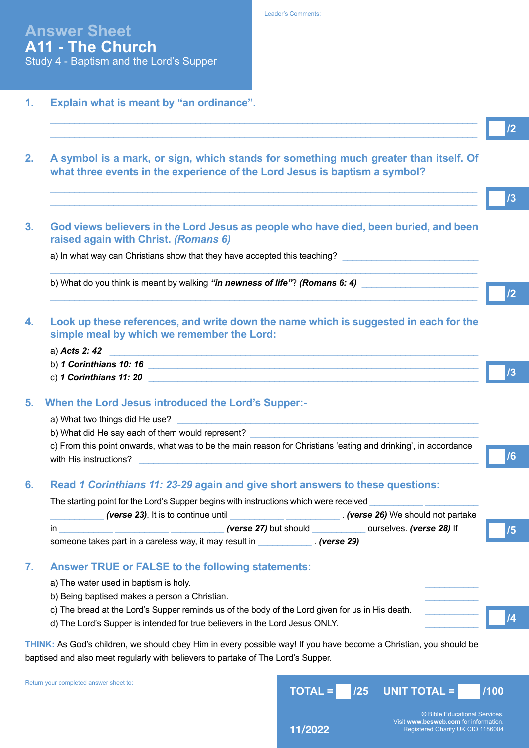- **1. Explain what is meant by "an ordinance".**
- **2. A symbol is a mark, or sign, which stands for something much greater than itself. Of what three events in the experience of the Lord Jesus is baptism a symbol?**

 $\_$  ,  $\_$  ,  $\_$  ,  $\_$  ,  $\_$  ,  $\_$  ,  $\_$  ,  $\_$  ,  $\_$  ,  $\_$  ,  $\_$  ,  $\_$  ,  $\_$  ,  $\_$  ,  $\_$  ,  $\_$  ,  $\_$  ,  $\_$  ,  $\_$  ,  $\_$  ,  $\_$  ,  $\_$  ,  $\_$  ,  $\_$  ,  $\_$  ,  $\_$  ,  $\_$  ,  $\_$  ,  $\_$  ,  $\_$  ,  $\_$  ,  $\_$  ,  $\_$  ,  $\_$  ,  $\_$  ,  $\_$  ,  $\_$  ,  $\_$  ,  $\_$  ,  $\_$  ,  $\_$  ,  $\_$  ,  $\_$  ,  $\_$  ,  $\_$  ,  $\_$  ,  $\_$  ,  $\_$  ,  $\_$  ,  $\_$  ,  $\_$  ,  $\_$  ,  $\_$  ,  $\_$  ,  $\_$  ,  $\_$  ,  $\_$  ,  $\_$  ,  $\_$  ,  $\_$  ,  $\_$  ,  $\_$  ,  $\_$  ,  $\_$  ,  $\_$  ,  $\_$  ,  $\_$  ,  $\_$  ,  $\_$  ,  $\_$  ,  $\_$  ,  $\_$  ,  $\_$  ,  $\_$  ,

 $\_$  ,  $\_$  ,  $\_$  ,  $\_$  ,  $\_$  ,  $\_$  ,  $\_$  ,  $\_$  ,  $\_$  ,  $\_$  ,  $\_$  ,  $\_$  ,  $\_$  ,  $\_$  ,  $\_$  ,  $\_$  ,  $\_$  ,  $\_$  ,  $\_$  ,  $\_$  ,  $\_$  ,  $\_$  ,  $\_$  ,  $\_$  ,  $\_$  ,  $\_$  ,  $\_$  ,  $\_$  ,  $\_$  ,  $\_$  ,  $\_$  ,  $\_$  ,  $\_$  ,  $\_$  ,  $\_$  ,  $\_$  ,  $\_$  ,  $\_$  ,  $\_$  ,  $\_$  ,  $\_$  ,  $\_$  ,  $\_$  ,  $\_$  ,  $\_$  ,  $\_$  ,  $\_$  ,  $\_$  ,  $\_$  ,  $\_$  ,  $\_$  ,  $\_$  ,  $\_$  ,  $\_$  ,  $\_$  ,  $\_$  ,  $\_$  ,  $\_$  ,  $\_$  ,  $\_$  ,  $\_$  ,  $\_$  ,  $\_$  ,  $\_$  ,  $\_$  ,  $\_$  ,  $\_$  ,  $\_$  ,  $\_$  ,  $\_$  ,  $\_$  ,  $\_$  ,  $\_$  ,  $\_$  ,

 $\_$  ,  $\_$  ,  $\_$  ,  $\_$  ,  $\_$  ,  $\_$  ,  $\_$  ,  $\_$  ,  $\_$  ,  $\_$  ,  $\_$  ,  $\_$  ,  $\_$  ,  $\_$  ,  $\_$  ,  $\_$  ,  $\_$  ,  $\_$  ,  $\_$  ,  $\_$  ,  $\_$  ,  $\_$  ,  $\_$  ,  $\_$  ,  $\_$  ,  $\_$  ,  $\_$  ,  $\_$  ,  $\_$  ,  $\_$  ,  $\_$  ,  $\_$  ,  $\_$  ,  $\_$  ,  $\_$  ,  $\_$  ,  $\_$  ,

 $\_$  ,  $\_$  ,  $\_$  ,  $\_$  ,  $\_$  ,  $\_$  ,  $\_$  ,  $\_$  ,  $\_$  ,  $\_$  ,  $\_$  ,  $\_$  ,  $\_$  ,  $\_$  ,  $\_$  ,  $\_$  ,  $\_$  ,  $\_$  ,  $\_$  ,  $\_$  ,  $\_$  ,  $\_$  ,  $\_$  ,  $\_$  ,  $\_$  ,  $\_$  ,  $\_$  ,  $\_$  ,  $\_$  ,  $\_$  ,  $\_$  ,  $\_$  ,  $\_$  ,  $\_$  ,  $\_$  ,  $\_$  ,  $\_$  ,

**3. God views believers in the Lord Jesus as people who have died, been buried, and been raised again with Christ.** *(Romans 6)*

a) In what way can Christians show that they have accepted this teaching?

b) What do you think is meant by walking "in newness of life"? *(Romans 6: 4)* 

- **4. Look up these references, and write down the name which is suggested in each for the simple meal by which we remember the Lord:** 
	- a) *Acts 2: 42*
	- b) *1 Corinthians 10: 16*
	- c) *1 Corinthians 11: 20* \_\_\_\_\_\_\_\_\_\_\_\_\_\_\_\_\_\_\_\_\_\_\_\_\_\_\_\_\_\_\_\_\_\_\_\_\_\_\_\_\_\_\_\_\_\_\_\_\_\_\_\_\_\_\_\_\_\_\_\_\_\_\_\_\_\_\_\_

## **5. When the Lord Jesus introduced the Lord's Supper:-**

- a) What two things did He use?
- b) What did He say each of them would represent?

c) From this point onwards, what was to be the main reason for Christians 'eating and drinking', in accordance with His instructions?

## **6. Read** *1 Corinthians 11: 23-29* **again and give short answers to these questions:**

The starting point for the Lord's Supper begins with instructions which were received

| (verse 23). It is to continue until                    |                              | . (verse 26) We should not partake |  |
|--------------------------------------------------------|------------------------------|------------------------------------|--|
| in                                                     | <i>(verse 27)</i> but should | ourselves. (verse 28) If           |  |
| someone takes part in a careless way, it may result in |                              | . <i>(verse 29)</i>                |  |
|                                                        |                              |                                    |  |

# **7. Answer TRUE or FALSE to the following statements:**

- a) The water used in baptism is holy.
- b) Being baptised makes a person a Christian.
- c) The bread at the Lord's Supper reminds us of the body of the Lord given for us in His death.
- d) The Lord's Supper is intended for true believers in the Lord Jesus ONLY.

**THINK:** As God's children, we should obey Him in every possible way! If you have become a Christian, you should be baptised and also meet regularly with believers to partake of The Lord's Supper.

| paperboa and dibb moot regardity with pollovers to partants or rife Estate Support. |  |                                              |      |
|-------------------------------------------------------------------------------------|--|----------------------------------------------|------|
| Return your completed answer sheet to:                                              |  | $\sqrt{10}$ TOTAL = $\sqrt{25}$ UNIT TOTAL = | /100 |

**©** Bible Educational Services. Visit **www.besweb.com** for information.<br>Registered Charity UK CIO 1186004

**/2**

**/3**

**/2**

**/3**

**/6**

**/5**

| <b>Leader's Comments:</b> |  |
|---------------------------|--|
|                           |  |
|                           |  |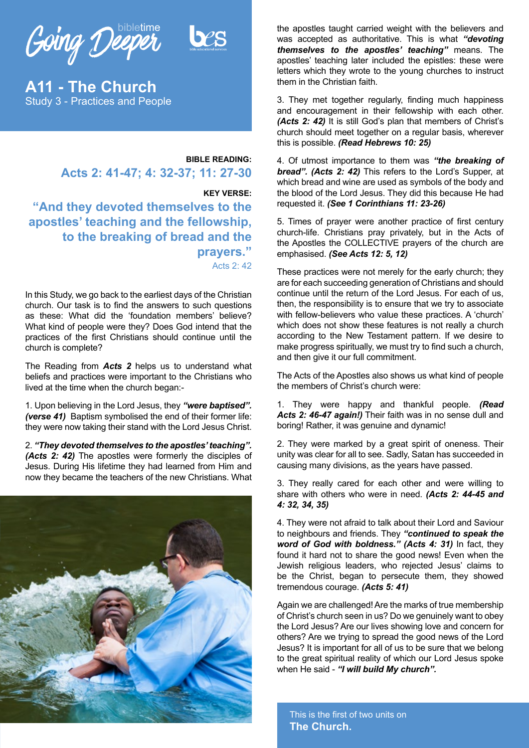Going Deeper

**A11 - The Church** Study 3 - Practices and People

# **BIBLE READING: Acts 2: 41-47; 4: 32-37; 11: 27-30**

#### **KEY VERSE:**

**"And they devoted themselves to the apostles' teaching and the fellowship, to the breaking of bread and the prayers."** Acts 2: 42

In this Study, we go back to the earliest days of the Christian church. Our task is to find the answers to such questions as these: What did the 'foundation members' believe? What kind of people were they? Does God intend that the practices of the first Christians should continue until the church is complete?

The Reading from *Acts 2* helps us to understand what beliefs and practices were important to the Christians who lived at the time when the church began:-

1. Upon believing in the Lord Jesus, they *"were baptised". (verse 41)* Baptism symbolised the end of their former life: they were now taking their stand with the Lord Jesus Christ.

2. *"They devoted themselves to the apostles' teaching". (Acts 2: 42)* The apostles were formerly the disciples of Jesus. During His lifetime they had learned from Him and now they became the teachers of the new Christians. What



the apostles taught carried weight with the believers and was accepted as authoritative. This is what *"devoting themselves to the apostles' teaching"* means. The apostles' teaching later included the epistles: these were letters which they wrote to the young churches to instruct them in the Christian faith.

3. They met together regularly, finding much happiness and encouragement in their fellowship with each other. *(Acts 2: 42)* It is still God's plan that members of Christ's church should meet together on a regular basis, wherever this is possible. *(Read Hebrews 10: 25)* 

4. Of utmost importance to them was *"the breaking of bread". (Acts 2: 42)* This refers to the Lord's Supper, at which bread and wine are used as symbols of the body and the blood of the Lord Jesus. They did this because He had requested it. *(See 1 Corinthians 11: 23-26)*

5. Times of prayer were another practice of first century church-life. Christians pray privately, but in the Acts of the Apostles the COLLECTIVE prayers of the church are emphasised. *(See Acts 12: 5, 12)* 

These practices were not merely for the early church; they are for each succeeding generation of Christians and should continue until the return of the Lord Jesus. For each of us, then, the responsibility is to ensure that we try to associate with fellow-believers who value these practices. A 'church' which does not show these features is not really a church according to the New Testament pattern. If we desire to make progress spiritually, we must try to find such a church, and then give it our full commitment.

The Acts of the Apostles also shows us what kind of people the members of Christ's church were:

1. They were happy and thankful people. *(Read Acts 2: 46-47 again!)* Their faith was in no sense dull and boring! Rather, it was genuine and dynamic!

2. They were marked by a great spirit of oneness. Their unity was clear for all to see. Sadly, Satan has succeeded in causing many divisions, as the years have passed.

3. They really cared for each other and were willing to share with others who were in need. *(Acts 2: 44-45 and 4: 32, 34, 35)*

4. They were not afraid to talk about their Lord and Saviour to neighbours and friends. They *"continued to speak the word of God with boldness." (Acts 4: 31)* In fact, they found it hard not to share the good news! Even when the Jewish religious leaders, who rejected Jesus' claims to be the Christ, began to persecute them, they showed tremendous courage. *(Acts 5: 41)* 

Again we are challenged! Are the marks of true membership of Christ's church seen in us? Do we genuinely want to obey the Lord Jesus? Are our lives showing love and concern for others? Are we trying to spread the good news of the Lord Jesus? It is important for all of us to be sure that we belong to the great spiritual reality of which our Lord Jesus spoke when He said - *"I will build My church".*

This is the first of two units on **The Church.**